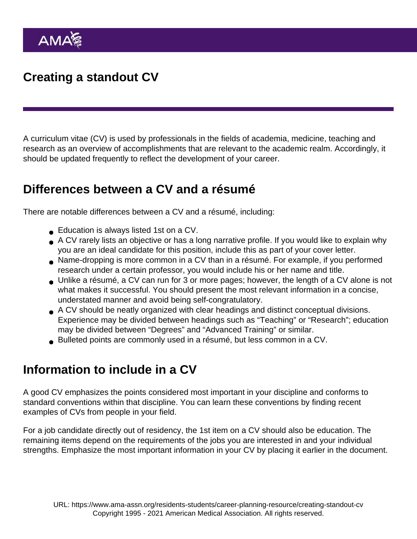## Creating a standout CV

A curriculum vitae (CV) is used by professionals in the fields of academia, medicine, teaching and research as an overview of accomplishments that are relevant to the academic realm. Accordingly, it should be updated frequently to reflect the development of your career.

## Differences between a CV and a résumé

There are notable differences between a CV and a résumé, including:

- Education is always listed 1st on a CV.
- A CV rarely lists an objective or has a long narrative profile. If you would like to explain why you are an ideal candidate for this position, include this as part of your cover letter.
- Name-dropping is more common in a CV than in a résumé. For example, if you performed research under a certain professor, you would include his or her name and title.
- Unlike a résumé, a CV can run for 3 or more pages; however, the length of a CV alone is not what makes it successful. You should present the most relevant information in a concise, understated manner and avoid being self-congratulatory.
- A CV should be neatly organized with clear headings and distinct conceptual divisions. Experience may be divided between headings such as "Teaching" or "Research"; education may be divided between "Degrees" and "Advanced Training" or similar.
- Bulleted points are commonly used in a résumé, but less common in a CV.

## Information to include in a CV

A good CV emphasizes the points considered most important in your discipline and conforms to standard conventions within that discipline. You can learn these conventions by finding recent examples of CVs from people in your field.

For a job candidate directly out of residency, the 1st item on a CV should also be education. The remaining items depend on the requirements of the jobs you are interested in and your individual strengths. Emphasize the most important information in your CV by placing it earlier in the document.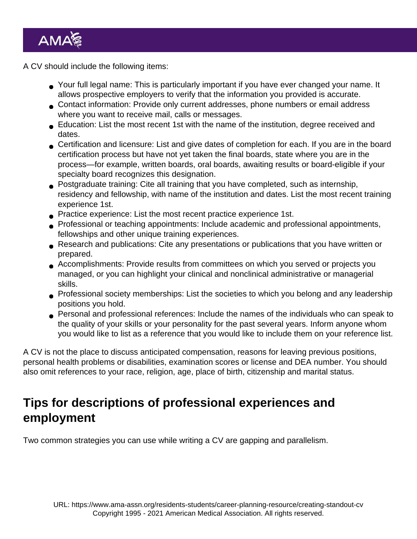A CV should include the following items:

- Your full legal name: This is particularly important if you have ever changed your name. It allows prospective employers to verify that the information you provided is accurate.
- Contact information: Provide only current addresses, phone numbers or email address where you want to receive mail, calls or messages.
- Education: List the most recent 1st with the name of the institution, degree received and dates.
- Certification and licensure: List and give dates of completion for each. If you are in the board certification process but have not yet taken the final boards, state where you are in the process—for example, written boards, oral boards, awaiting results or board-eligible if your specialty board recognizes this designation.
- Postgraduate training: Cite all training that you have completed, such as internship, residency and fellowship, with name of the institution and dates. List the most recent training experience 1st.
- Practice experience: List the most recent practice experience 1st.
- **Professional or teaching appointments: Include academic and professional appointments,** fellowships and other unique training experiences.
- Research and publications: Cite any presentations or publications that you have written or prepared.
- Accomplishments: Provide results from committees on which you served or projects you managed, or you can highlight your clinical and nonclinical administrative or managerial skills.
- Professional society memberships: List the societies to which you belong and any leadership positions you hold.
- Personal and professional references: Include the names of the individuals who can speak to the quality of your skills or your personality for the past several years. Inform anyone whom you would like to list as a reference that you would like to include them on your reference list.

A CV is not the place to discuss anticipated compensation, reasons for leaving previous positions, personal health problems or disabilities, examination scores or license and DEA number. You should also omit references to your race, religion, age, place of birth, citizenship and marital status.

## Tips for descriptions of professional experiences and employment

Two common strategies you can use while writing a CV are gapping and parallelism.